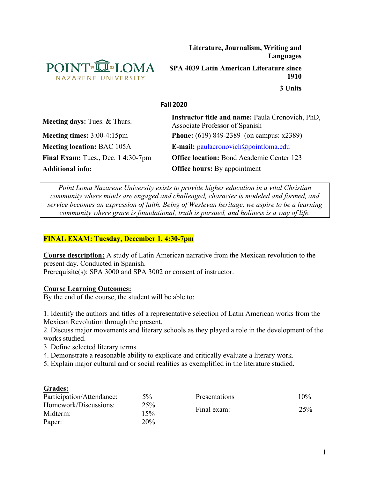

**Literature, Journalism, Writing and Languages**

**SPA 4039 Latin American Literature since 1910**

**3 Units**

#### **Fall 2020**

| <b>Meeting days:</b> Tues. & Thurs. | <b>Instructor title and name: Paula Cronovich, PhD,</b><br>Associate Professor of Spanish |  |
|-------------------------------------|-------------------------------------------------------------------------------------------|--|
| Meeting times: $3:00-4:15$ pm       | <b>Phone:</b> (619) 849-2389 (on campus: $x2389$ )                                        |  |
| <b>Meeting location: BAC 105A</b>   | <b>E-mail:</b> $paulacronovich@pointloma.edu$                                             |  |
| Final Exam: Tues., Dec. 14:30-7pm   | <b>Office location:</b> Bond Academic Center 123                                          |  |
| <b>Additional info:</b>             | <b>Office hours:</b> By appointment                                                       |  |

*Point Loma Nazarene University exists to provide higher education in a vital Christian community where minds are engaged and challenged, character is modeled and formed, and service becomes an expression of faith. Being of Wesleyan heritage, we aspire to be a learning community where grace is foundational, truth is pursued, and holiness is a way of life.*

## **FINAL EXAM: Tuesday, December 1, 4:30-7pm**

**Course description:** A study of Latin American narrative from the Mexican revolution to the present day. Conducted in Spanish. Prerequisite(s): SPA 3000 and SPA 3002 or consent of instructor.

#### **Course Learning Outcomes:**

By the end of the course, the student will be able to:

1. Identify the authors and titles of a representative selection of Latin American works from the Mexican Revolution through the present.

2. Discuss major movements and literary schools as they played a role in the development of the works studied.

- 3. Define selected literary terms.
- 4. Demonstrate a reasonable ability to explicate and critically evaluate a literary work.
- 5. Explain major cultural and or social realities as exemplified in the literature studied.

#### **Grades:**

| Participation/Attendance: | $5\%$ | <b>Presentations</b> | $10\%$ |
|---------------------------|-------|----------------------|--------|
| Homework/Discussions:     | 25%   | Final exam:          | 25%    |
| Midterm:                  | 15%   |                      |        |
| Paper:                    | 20%   |                      |        |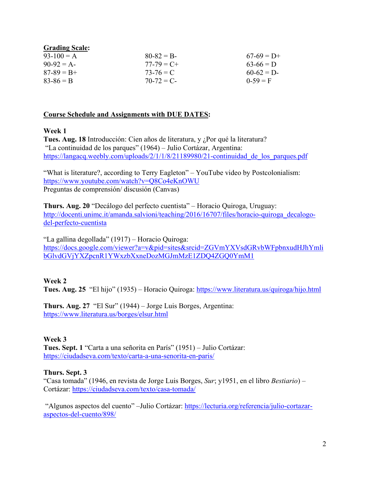| <b>Grading Scale:</b> |               |              |
|-----------------------|---------------|--------------|
| $93-100 = A$          | $80 - 82 = B$ | $67-69 = D+$ |
| $90-92 = A$           | $77-79 = C +$ | $63-66 = D$  |
| $87 - 89 = B +$       | $73 - 76 = C$ | $60-62 = D$  |
| $83 - 86 = B$         | $70-72 = C$   | $0-59 = F$   |

### **Course Schedule and Assignments with DUE DATES:**

### **Week 1**

**Tues. Aug. 18** Introducción: Cien años de literatura, y ¿Por qué la literatura? "La continuidad de los parques" (1964) – Julio Cortázar, Argentina: https://langacq.weebly.com/uploads/2/1/1/8/21189980/21-continuidad de los parques.pdf

"What is literature?, according to Terry Eagleton" – YouTube video by Postcolonialism: <https://www.youtube.com/watch?v=Q8Co4eKnOWU> Preguntas de comprensión/ discusión (Canvas)

**Thurs. Aug. 20** "Decálogo del perfecto cuentista" – Horacio Quiroga, Uruguay: [http://docenti.unimc.it/amanda.salvioni/teaching/2016/16707/files/horacio-quiroga\\_decalogo](http://docenti.unimc.it/amanda.salvioni/teaching/2016/16707/files/horacio-quiroga_decalogo-del-perfecto-cuentista)[del-perfecto-cuentista](http://docenti.unimc.it/amanda.salvioni/teaching/2016/16707/files/horacio-quiroga_decalogo-del-perfecto-cuentista)

"La gallina degollada" (1917) – Horacio Quiroga: [https://docs.google.com/viewer?a=v&pid=sites&srcid=ZGVmYXVsdGRvbWFpbnxudHJhYmli](https://docs.google.com/viewer?a=v&pid=sites&srcid=ZGVmYXVsdGRvbWFpbnxudHJhYmlibGlvdGVjYXZpcnR1YWxzbXxneDozMGJmMzE1ZDQ4ZGQ0YmM1) [bGlvdGVjYXZpcnR1YWxzbXxneDozMGJmMzE1ZDQ4ZGQ0YmM1](https://docs.google.com/viewer?a=v&pid=sites&srcid=ZGVmYXVsdGRvbWFpbnxudHJhYmlibGlvdGVjYXZpcnR1YWxzbXxneDozMGJmMzE1ZDQ4ZGQ0YmM1)

## **Week 2**

**Tues. Aug. 25** "El hijo" (1935) – Horacio Quiroga:<https://www.literatura.us/quiroga/hijo.html>

**Thurs. Aug. 27** "El Sur" (1944) – Jorge Luis Borges, Argentina: <https://www.literatura.us/borges/elsur.html>

## **Week 3**

**Tues. Sept. 1** "Carta a una señorita en París" (1951) – Julio Cortázar: <https://ciudadseva.com/texto/carta-a-una-senorita-en-paris/>

#### **Thurs. Sept. 3**

"Casa tomada" (1946, en revista de Jorge Luis Borges, *Sur*; y1951, en el libro *Bestiario*) – Cortázar:<https://ciudadseva.com/texto/casa-tomada/>

"Algunos aspectos del cuento" –Julio Cortázar: [https://lecturia.org/referencia/julio-cortazar](https://lecturia.org/referencia/julio-cortazar-aspectos-del-cuento/898/)[aspectos-del-cuento/898/](https://lecturia.org/referencia/julio-cortazar-aspectos-del-cuento/898/)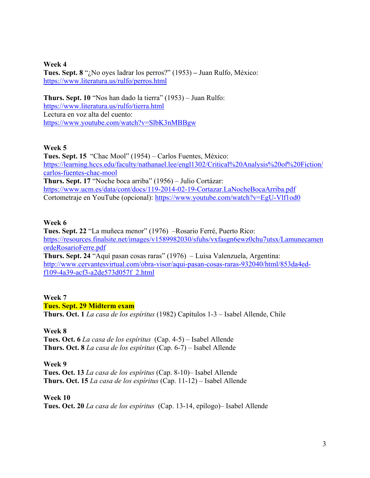**Week 4 Tues. Sept. 8** "¿No oyes ladrar los perros?" (1953) **–** Juan Rulfo, México: <https://www.literatura.us/rulfo/perros.html>

**Thurs. Sept. 10** "Nos han dado la tierra" (1953) – Juan Rulfo: <https://www.literatura.us/rulfo/tierra.html> Lectura en voz alta del cuento: <https://www.youtube.com/watch?v=SlbK3nMBBgw>

### **Week 5**

**Tues. Sept. 15** "Chac Mool" (1954) *–* Carlos Fuentes, México: [https://learning.hccs.edu/faculty/nathanael.lee/engl1302/Critical%20Analysis%20of%20Fiction/](https://learning.hccs.edu/faculty/nathanael.lee/engl1302/Critical%20Analysis%20of%20Fiction/carlos-fuentes-chac-mool) [carlos-fuentes-chac-mool](https://learning.hccs.edu/faculty/nathanael.lee/engl1302/Critical%20Analysis%20of%20Fiction/carlos-fuentes-chac-mool) **Thurs. Sept. 17** "Noche boca arriba" (1956) – Julio Cortázar: <https://www.ucm.es/data/cont/docs/119-2014-02-19-Cortazar.LaNocheBocaArriba.pdf> Cortometraje en YouTube (opcional):<https://www.youtube.com/watch?v=EgU-Vlf1od0>

### **Week 6**

**Tues. Sept. 22** "La muñeca menor" (1976) –Rosario Ferré, Puerto Rico: [https://resources.finalsite.net/images/v1589982030/sfuhs/vxfasgn6ewz0chu7utsx/Lamunecamen](https://resources.finalsite.net/images/v1589982030/sfuhs/vxfasgn6ewz0chu7utsx/LamunecamenordeRosarioFerre.pdf) [ordeRosarioFerre.pdf](https://resources.finalsite.net/images/v1589982030/sfuhs/vxfasgn6ewz0chu7utsx/LamunecamenordeRosarioFerre.pdf) **Thurs. Sept. 24** "Aquí pasan cosas raras" (1976) – Luisa Valenzuela, Argentina: [http://www.cervantesvirtual.com/obra-visor/aqui-pasan-cosas-raras-932040/html/853da4ed](http://www.cervantesvirtual.com/obra-visor/aqui-pasan-cosas-raras-932040/html/853da4ed-f109-4a39-acf3-a2de573d057f_2.html)[f109-4a39-acf3-a2de573d057f\\_2.html](http://www.cervantesvirtual.com/obra-visor/aqui-pasan-cosas-raras-932040/html/853da4ed-f109-4a39-acf3-a2de573d057f_2.html)

# **Week 7**

### **Tues. Sept. 29 Midterm exam**

**Thurs. Oct. 1** *La casa de los espíritus* (1982) Capítulos 1-3 – Isabel Allende, Chile

#### **Week 8**

**Tues. Oct. 6** *La casa de los espíritus* (Cap. 4-5) – Isabel Allende **Thurs. Oct. 8** *La casa de los espíritus* (Cap. 6-7) – Isabel Allende

#### **Week 9**

**Tues. Oct. 13** *La casa de los espíritus* (Cap. 8-10)– Isabel Allende **Thurs. Oct. 15** *La casa de los espíritus* (Cap. 11-12) – Isabel Allende

#### **Week 10**

**Tues. Oct. 20** *La casa de los espíritus* (Cap. 13-14, epílogo)– Isabel Allende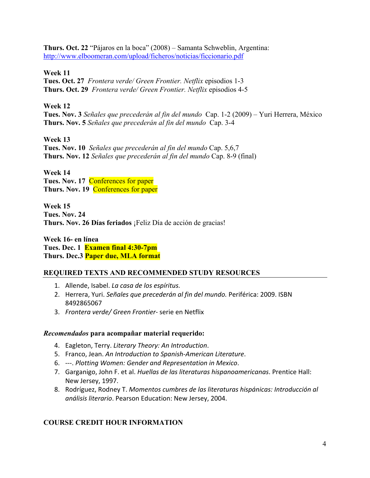**Thurs. Oct. 22** "Pájaros en la boca" (2008) – Samanta Schweblin, Argentina: <http://www.elboomeran.com/upload/ficheros/noticias/ficcionario.pdf>

**Week 11**

**Tues. Oct. 27** *Frontera verde/ Green Frontier. Netflix* episodios 1-3 **Thurs. Oct. 29** *Frontera verde/ Green Frontier. Netflix* episodios 4-5

### **Week 12**

**Tues. Nov. 3** *Señales que precederán al fin del mundo* Cap. 1-2 (2009) – Yuri Herrera, México **Thurs. Nov. 5** *Señales que precederán al fin del mundo* Cap. 3-4

**Week 13 Tues. Nov. 10** *Señales que precederán al fin del mundo* Cap. 5,6,7 **Thurs. Nov. 12** *Señales que precederán al fin del mundo* Cap. 8-9 (final)

**Week 14 Tues. Nov. 17** Conferences for paper **Thurs. Nov. 19** Conferences for paper

**Week 15 Tues. Nov. 24 Thurs. Nov. 26 Días feriados** ¡Feliz Día de acción de gracias!

**Week 16- en línea Tues. Dec. 1 Examen final 4:30-7pm Thurs. Dec.3 Paper due, MLA format**

## **REQUIRED TEXTS AND RECOMMENDED STUDY RESOURCES**

- 1. Allende, Isabel. *La casa de los espíritus.*
- 2. Herrera, Yuri. *Señales que precederán al fin del mundo.* Periférica: 2009. ISBN 8492865067
- 3. *Frontera verde/ Green Frontier-* serie en Netflix

## *Recomendados* **para acompañar material requerido:**

- 4. Eagleton, Terry. *Literary Theory: An Introduction*.
- 5. Franco, Jean. *An Introduction to Spanish-American Literature*.
- 6. ---. *Plotting Women: Gender and Representation in Mexico*.
- 7. Garganigo, John F. et al. *Huellas de las literaturas hispanoamericanas*. Prentice Hall: New Jersey, 1997.
- 8. Rodríguez, Rodney T. *Momentos cumbres de las literaturas hispánicas: Introducción al análisis literario*. Pearson Education: New Jersey, 2004.

## **COURSE CREDIT HOUR INFORMATION**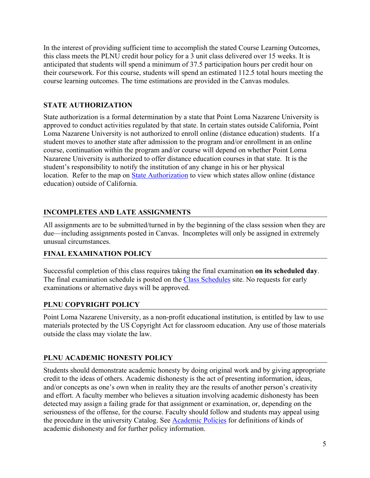In the interest of providing sufficient time to accomplish the stated Course Learning Outcomes, this class meets the PLNU credit hour policy for a 3 unit class delivered over 15 weeks. It is anticipated that students will spend a minimum of 37.5 participation hours per credit hour on their coursework. For this course, students will spend an estimated 112.5 total hours meeting the course learning outcomes. The time estimations are provided in the Canvas modules.

## **STATE AUTHORIZATION**

State authorization is a formal determination by a state that Point Loma Nazarene University is approved to conduct activities regulated by that state. In certain states outside California, Point Loma Nazarene University is not authorized to enroll online (distance education) students. If a student moves to another state after admission to the program and/or enrollment in an online course, continuation within the program and/or course will depend on whether Point Loma Nazarene University is authorized to offer distance education courses in that state. It is the student's responsibility to notify the institution of any change in his or her physical location. Refer to the map on [State Authorization](https://www.pointloma.edu/offices/office-institutional-effectiveness-research/disclosures) to view which states allow online (distance education) outside of California.

## **INCOMPLETES AND LATE ASSIGNMENTS**

All assignments are to be submitted/turned in by the beginning of the class session when they are due—including assignments posted in Canvas. Incompletes will only be assigned in extremely unusual circumstances.

## **FINAL EXAMINATION POLICY**

Successful completion of this class requires taking the final examination **on its scheduled day**. The final examination schedule is posted on the [Class Schedules](http://www.pointloma.edu/experience/academics/class-schedules) site. No requests for early examinations or alternative days will be approved.

## **PLNU COPYRIGHT POLICY**

Point Loma Nazarene University, as a non-profit educational institution, is entitled by law to use materials protected by the US Copyright Act for classroom education. Any use of those materials outside the class may violate the law.

## **PLNU ACADEMIC HONESTY POLICY**

Students should demonstrate academic honesty by doing original work and by giving appropriate credit to the ideas of others. Academic dishonesty is the act of presenting information, ideas, and/or concepts as one's own when in reality they are the results of another person's creativity and effort. A faculty member who believes a situation involving academic dishonesty has been detected may assign a failing grade for that assignment or examination, or, depending on the seriousness of the offense, for the course. Faculty should follow and students may appeal using the procedure in the university Catalog. See [Academic Policies](http://catalog.pointloma.edu/content.php?catoid=18&navoid=1278) for definitions of kinds of academic dishonesty and for further policy information.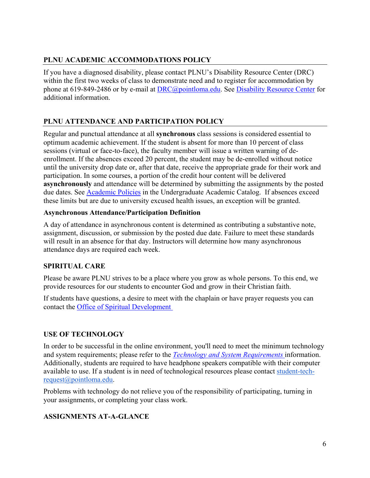## **PLNU ACADEMIC ACCOMMODATIONS POLICY**

If you have a diagnosed disability, please contact PLNU's Disability Resource Center (DRC) within the first two weeks of class to demonstrate need and to register for accommodation by phone at 619-849-2486 or by e-mail at [DRC@pointloma.edu.](mailto:DRC@pointloma.edu) See [Disability Resource Center](http://www.pointloma.edu/experience/offices/administrative-offices/academic-advising-office/disability-resource-center) for additional information.

# **PLNU ATTENDANCE AND PARTICIPATION POLICY**

Regular and punctual attendance at all **synchronous** class sessions is considered essential to optimum academic achievement. If the student is absent for more than 10 percent of class sessions (virtual or face-to-face), the faculty member will issue a written warning of deenrollment. If the absences exceed 20 percent, the student may be de-enrolled without notice until the university drop date or, after that date, receive the appropriate grade for their work and participation. In some courses, a portion of the credit hour content will be delivered **asynchronously** and attendance will be determined by submitting the assignments by the posted due dates. See **Academic Policies** in the Undergraduate Academic Catalog. If absences exceed these limits but are due to university excused health issues, an exception will be granted.

## **Asynchronous Attendance/Participation Definition**

A day of attendance in asynchronous content is determined as contributing a substantive note, assignment, discussion, or submission by the posted due date. Failure to meet these standards will result in an absence for that day. Instructors will determine how many asynchronous attendance days are required each week.

## **SPIRITUAL CARE**

Please be aware PLNU strives to be a place where you grow as whole persons. To this end, we provide resources for our students to encounter God and grow in their Christian faith.

If students have questions, a desire to meet with the chaplain or have prayer requests you can contact the [Office of Spiritual Development](https://www.pointloma.edu/offices/spiritual-development)

## **USE OF TECHNOLOGY**

In order to be successful in the online environment, you'll need to meet the minimum technology and system requirements; please refer to the *[Technology and System Requirements](https://help.pointloma.edu/TDClient/1808/Portal/KB/ArticleDet?ID=108349)* information. Additionally, students are required to have headphone speakers compatible with their computer available to use. If a student is in need of technological resources please contact [student-tech](mailto:student-tech-request@pointloma.edu)[request@pointloma.edu.](mailto:student-tech-request@pointloma.edu)

Problems with technology do not relieve you of the responsibility of participating, turning in your assignments, or completing your class work.

## **ASSIGNMENTS AT-A-GLANCE**